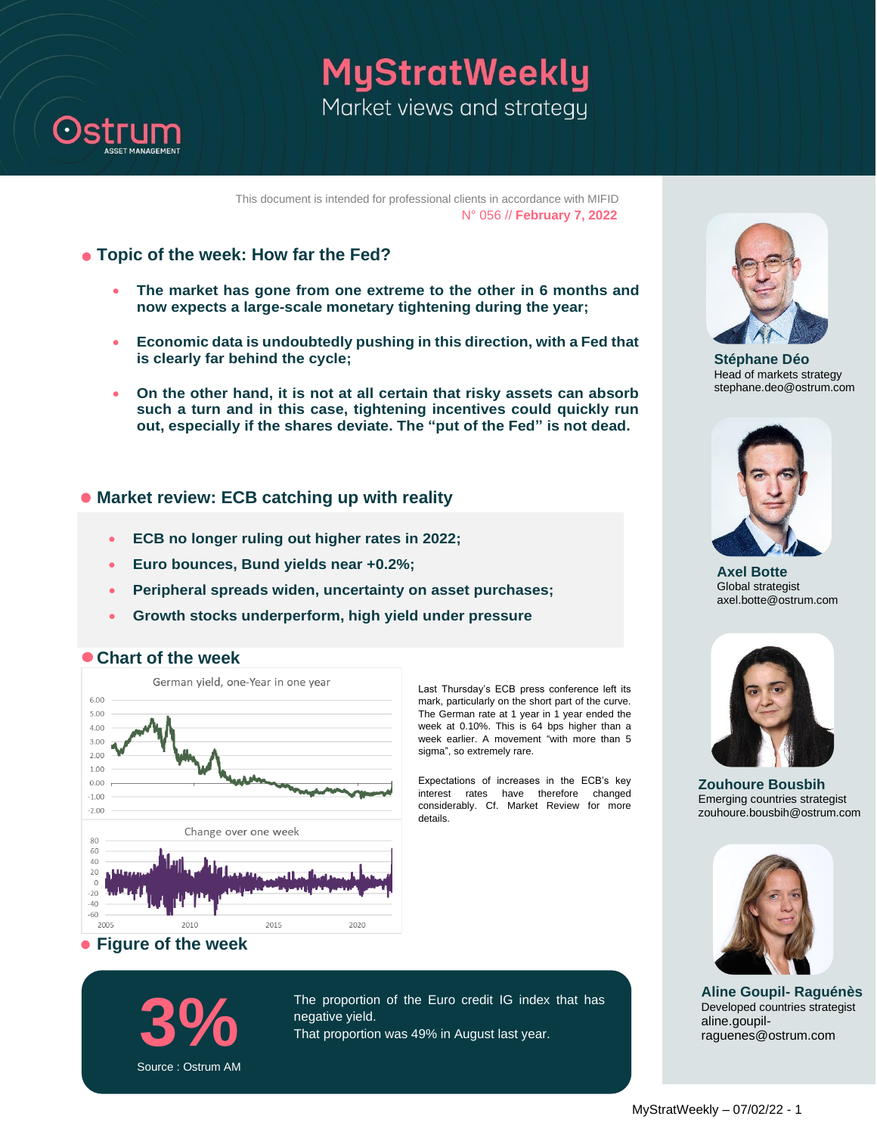

**MyStratWeekly** Market views and strategy

This document is intended for professional clients in accordance with MIFID N° 056 // **February 7, 2022**

- **Topic of the week: How far the Fed?**
	- **The market has gone from one extreme to the other in 6 months and now expects a large-scale monetary tightening during the year;**
	- **Economic data is undoubtedly pushing in this direction, with a Fed that is clearly far behind the cycle;**
	- **On the other hand, it is not at all certain that risky assets can absorb such a turn and in this case, tightening incentives could quickly run out, especially if the shares deviate. The "put of the Fed" is not dead.**

### **Market review: ECB catching up with reality**

- **ECB no longer ruling out higher rates in 2022;**
- **Euro bounces, Bund yields near +0.2%;**
- **Peripheral spreads widen, uncertainty on asset purchases;**
- **Growth stocks underperform, high yield under pressure**



Last Thursday's ECB press conference left its mark, particularly on the short part of the curve. The German rate at 1 year in 1 year ended the week at 0.10%. This is 64 bps higher than a week earlier. A movement "with more than 5 sigma", so extremely rare.

Expectations of increases in the ECB's key interest rates have therefore changed considerably. Cf. Market Review for more details.



 **Chart of the week** 



**3%** The proportion of the Euro credit IG index that has negative yield. That proportion was 49% in August last year.



**Stéphane Déo** Head of markets strategy stephane.deo@ostrum.com



**Axel Botte** Global strategist axel.botte@ostrum.com



**Zouhoure Bousbih** Emerging countries strategist zouhoure.bousbih@ostrum.com



**Aline Goupil- Raguénès** Developed countries strategist aline.goupilraguenes@ostrum.com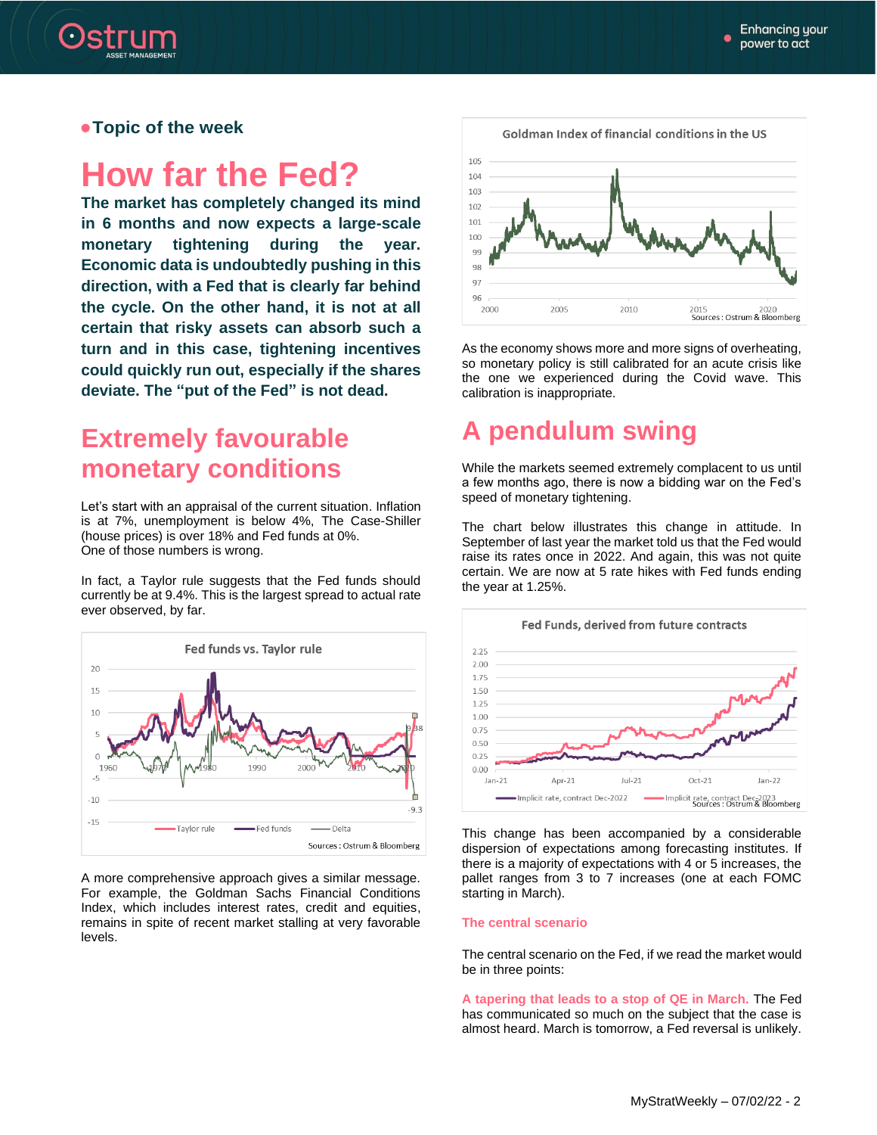

 **Topic of the week**

# **How far the Fed?**

**The market has completely changed its mind in 6 months and now expects a large-scale monetary tightening during the year. Economic data is undoubtedly pushing in this direction, with a Fed that is clearly far behind the cycle. On the other hand, it is not at all certain that risky assets can absorb such a turn and in this case, tightening incentives could quickly run out, especially if the shares deviate. The "put of the Fed" is not dead.**

### **Extremely favourable monetary conditions**

Let's start with an appraisal of the current situation. Inflation is at 7%, unemployment is below 4%, The Case-Shiller (house prices) is over 18% and Fed funds at 0%. One of those numbers is wrong.

In fact, a Taylor rule suggests that the Fed funds should currently be at 9.4%. This is the largest spread to actual rate ever observed, by far.



A more comprehensive approach gives a similar message. For example, the Goldman Sachs Financial Conditions Index, which includes interest rates, credit and equities, remains in spite of recent market stalling at very favorable levels.



As the economy shows more and more signs of overheating, so monetary policy is still calibrated for an acute crisis like the one we experienced during the Covid wave. This calibration is inappropriate.

# **A pendulum swing**

While the markets seemed extremely complacent to us until a few months ago, there is now a bidding war on the Fed's speed of monetary tightening.

The chart below illustrates this change in attitude. In September of last year the market told us that the Fed would raise its rates once in 2022. And again, this was not quite certain. We are now at 5 rate hikes with Fed funds ending the year at 1.25%.



This change has been accompanied by a considerable dispersion of expectations among forecasting institutes. If there is a majority of expectations with 4 or 5 increases, the pallet ranges from 3 to 7 increases (one at each FOMC starting in March).

#### **The central scenario**

The central scenario on the Fed, if we read the market would be in three points:

**A tapering that leads to a stop of QE in March.** The Fed has communicated so much on the subject that the case is almost heard. March is tomorrow, a Fed reversal is unlikely.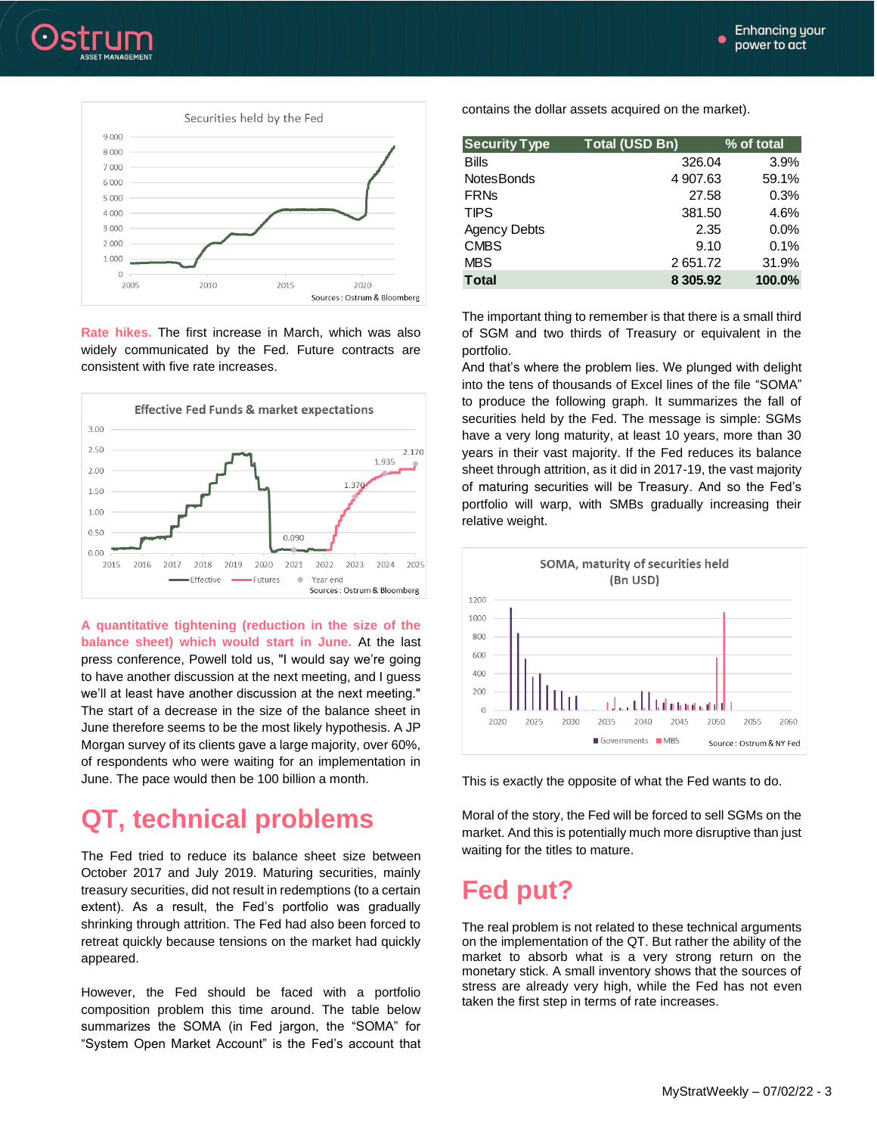ė

![](_page_2_Picture_1.jpeg)

![](_page_2_Figure_2.jpeg)

**Rate hikes.** The first increase in March, which was also widely communicated by the Fed. Future contracts are consistent with five rate increases.

![](_page_2_Figure_4.jpeg)

**A quantitative tightening (reduction in the size of the balance sheet) which would start in June.** At the last press conference, Powell told us, "I would say we're going to have another discussion at the next meeting, and I guess we'll at least have another discussion at the next meeting." The start of a decrease in the size of the balance sheet in June therefore seems to be the most likely hypothesis. A JP Morgan survey of its clients gave a large majority, over 60%, of respondents who were waiting for an implementation in June. The pace would then be 100 billion a month.

### **QT, technical problems**

The Fed tried to reduce its balance sheet size between October 2017 and July 2019. Maturing securities, mainly treasury securities, did not result in redemptions (to a certain extent). As a result, the Fed's portfolio was gradually shrinking through attrition. The Fed had also been forced to retreat quickly because tensions on the market had quickly appeared.

However, the Fed should be faced with a portfolio composition problem this time around. The table below summarizes the SOMA (in Fed jargon, the "SOMA" for "System Open Market Account" is the Fed's account that contains the dollar assets acquired on the market).

| <b>Security Type</b> | <b>Total (USD Bn)</b> | % of total |  |
|----------------------|-----------------------|------------|--|
| <b>Bills</b>         | 326.04                | 3.9%       |  |
| <b>NotesBonds</b>    | 4 907.63              | 59.1%      |  |
| <b>FRNs</b>          | 27.58                 | 0.3%       |  |
| <b>TIPS</b>          | 381.50                | 4.6%       |  |
| <b>Agency Debts</b>  | 2.35                  | $0.0\%$    |  |
| <b>CMBS</b>          | 9.10                  | 0.1%       |  |
| <b>MBS</b>           | 2651.72               | 31.9%      |  |
| <b>T</b> otal        | 8 3 0 5 .9 2          | 100.0%     |  |

The important thing to remember is that there is a small third of SGM and two thirds of Treasury or equivalent in the portfolio.

And that's where the problem lies. We plunged with delight into the tens of thousands of Excel lines of the file "SOMA" to produce the following graph. It summarizes the fall of securities held by the Fed. The message is simple: SGMs have a very long maturity, at least 10 years, more than 30 years in their vast majority. If the Fed reduces its balance sheet through attrition, as it did in 2017-19, the vast majority of maturing securities will be Treasury. And so the Fed's portfolio will warp, with SMBs gradually increasing their relative weight.

![](_page_2_Figure_13.jpeg)

This is exactly the opposite of what the Fed wants to do.

Moral of the story, the Fed will be forced to sell SGMs on the market. And this is potentially much more disruptive than just waiting for the titles to mature.

## **Fed put?**

The real problem is not related to these technical arguments on the implementation of the QT. But rather the ability of the market to absorb what is a very strong return on the monetary stick. A small inventory shows that the sources of stress are already very high, while the Fed has not even taken the first step in terms of rate increases.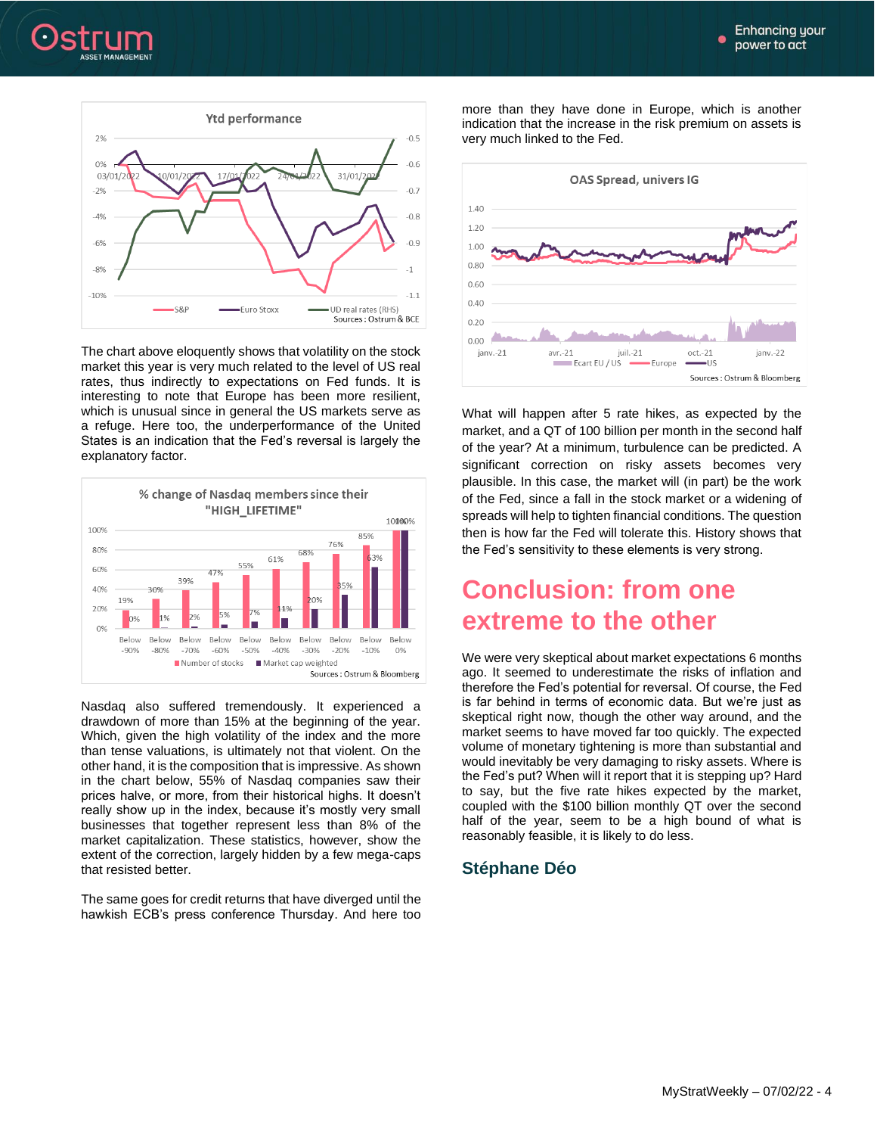![](_page_3_Picture_1.jpeg)

![](_page_3_Figure_2.jpeg)

The chart above eloquently shows that volatility on the stock market this year is very much related to the level of US real rates, thus indirectly to expectations on Fed funds. It is interesting to note that Europe has been more resilient, which is unusual since in general the US markets serve as a refuge. Here too, the underperformance of the United States is an indication that the Fed's reversal is largely the explanatory factor.

![](_page_3_Figure_4.jpeg)

Nasdaq also suffered tremendously. It experienced a drawdown of more than 15% at the beginning of the year. Which, given the high volatility of the index and the more than tense valuations, is ultimately not that violent. On the other hand, it is the composition that is impressive. As shown in the chart below, 55% of Nasdaq companies saw their prices halve, or more, from their historical highs. It doesn't really show up in the index, because it's mostly very small businesses that together represent less than 8% of the market capitalization. These statistics, however, show the extent of the correction, largely hidden by a few mega-caps that resisted better.

The same goes for credit returns that have diverged until the hawkish ECB's press conference Thursday. And here too

more than they have done in Europe, which is another indication that the increase in the risk premium on assets is very much linked to the Fed.

![](_page_3_Figure_8.jpeg)

What will happen after 5 rate hikes, as expected by the market, and a QT of 100 billion per month in the second half of the year? At a minimum, turbulence can be predicted. A significant correction on risky assets becomes very plausible. In this case, the market will (in part) be the work of the Fed, since a fall in the stock market or a widening of spreads will help to tighten financial conditions. The question then is how far the Fed will tolerate this. History shows that the Fed's sensitivity to these elements is very strong.

### **Conclusion: from one extreme to the other**

We were very skeptical about market expectations 6 months ago. It seemed to underestimate the risks of inflation and therefore the Fed's potential for reversal. Of course, the Fed is far behind in terms of economic data. But we're just as skeptical right now, though the other way around, and the market seems to have moved far too quickly. The expected volume of monetary tightening is more than substantial and would inevitably be very damaging to risky assets. Where is the Fed's put? When will it report that it is stepping up? Hard to say, but the five rate hikes expected by the market, coupled with the \$100 billion monthly QT over the second half of the year, seem to be a high bound of what is reasonably feasible, it is likely to do less.

### **Stéphane Déo**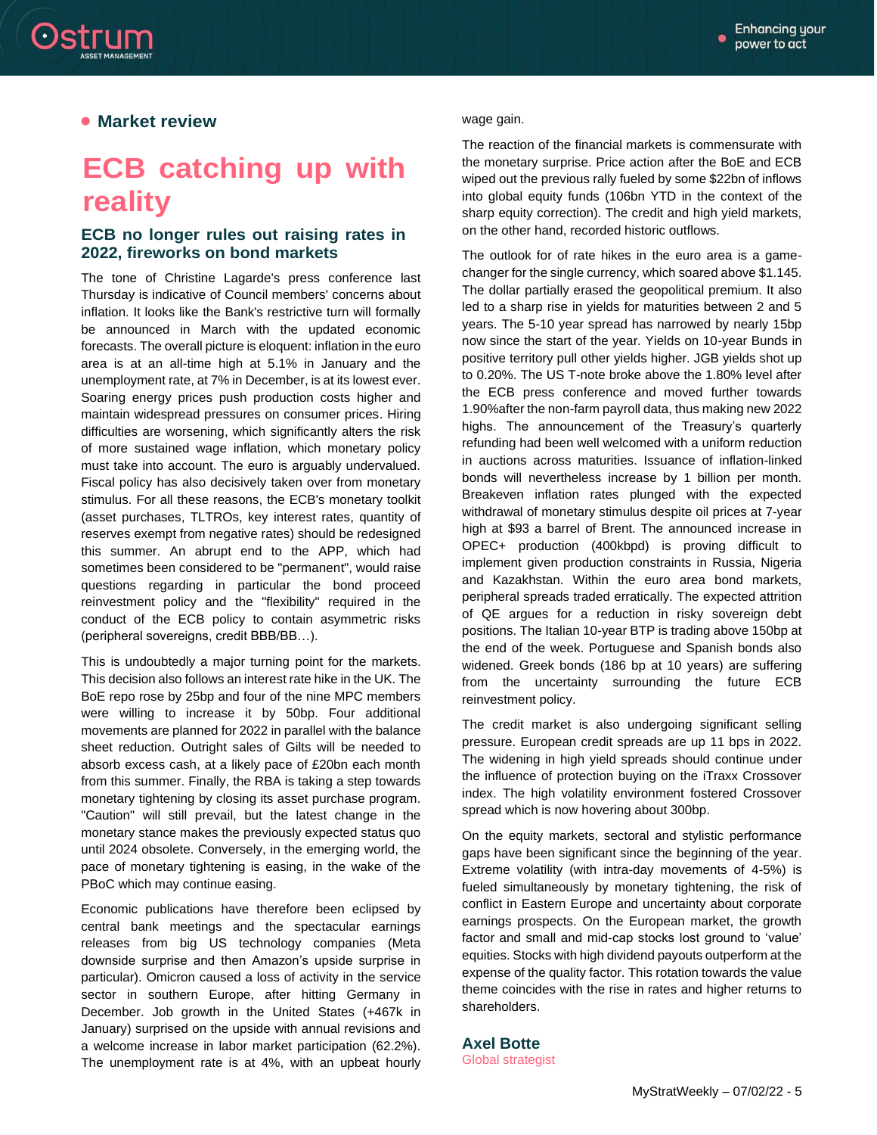![](_page_4_Picture_1.jpeg)

### **• Market review**

# **ECB catching up with reality**

#### **ECB no longer rules out raising rates in 2022, fireworks on bond markets**

The tone of Christine Lagarde's press conference last Thursday is indicative of Council members' concerns about inflation. It looks like the Bank's restrictive turn will formally be announced in March with the updated economic forecasts. The overall picture is eloquent: inflation in the euro area is at an all-time high at 5.1% in January and the unemployment rate, at 7% in December, is at its lowest ever. Soaring energy prices push production costs higher and maintain widespread pressures on consumer prices. Hiring difficulties are worsening, which significantly alters the risk of more sustained wage inflation, which monetary policy must take into account. The euro is arguably undervalued. Fiscal policy has also decisively taken over from monetary stimulus. For all these reasons, the ECB's monetary toolkit (asset purchases, TLTROs, key interest rates, quantity of reserves exempt from negative rates) should be redesigned this summer. An abrupt end to the APP, which had sometimes been considered to be "permanent", would raise questions regarding in particular the bond proceed reinvestment policy and the "flexibility" required in the conduct of the ECB policy to contain asymmetric risks (peripheral sovereigns, credit BBB/BB…).

This is undoubtedly a major turning point for the markets. This decision also follows an interest rate hike in the UK. The BoE repo rose by 25bp and four of the nine MPC members were willing to increase it by 50bp. Four additional movements are planned for 2022 in parallel with the balance sheet reduction. Outright sales of Gilts will be needed to absorb excess cash, at a likely pace of £20bn each month from this summer. Finally, the RBA is taking a step towards monetary tightening by closing its asset purchase program. "Caution" will still prevail, but the latest change in the monetary stance makes the previously expected status quo until 2024 obsolete. Conversely, in the emerging world, the pace of monetary tightening is easing, in the wake of the PBoC which may continue easing.

Economic publications have therefore been eclipsed by central bank meetings and the spectacular earnings releases from big US technology companies (Meta downside surprise and then Amazon's upside surprise in particular). Omicron caused a loss of activity in the service sector in southern Europe, after hitting Germany in December. Job growth in the United States (+467k in January) surprised on the upside with annual revisions and a welcome increase in labor market participation (62.2%). The unemployment rate is at 4%, with an upbeat hourly

wage gain.

The reaction of the financial markets is commensurate with the monetary surprise. Price action after the BoE and ECB wiped out the previous rally fueled by some \$22bn of inflows into global equity funds (106bn YTD in the context of the sharp equity correction). The credit and high yield markets, on the other hand, recorded historic outflows.

The outlook for of rate hikes in the euro area is a gamechanger for the single currency, which soared above \$1.145. The dollar partially erased the geopolitical premium. It also led to a sharp rise in yields for maturities between 2 and 5 years. The 5-10 year spread has narrowed by nearly 15bp now since the start of the year. Yields on 10-year Bunds in positive territory pull other yields higher. JGB yields shot up to 0.20%. The US T-note broke above the 1.80% level after the ECB press conference and moved further towards 1.90%after the non-farm payroll data, thus making new 2022 highs. The announcement of the Treasury's quarterly refunding had been well welcomed with a uniform reduction in auctions across maturities. Issuance of inflation-linked bonds will nevertheless increase by 1 billion per month. Breakeven inflation rates plunged with the expected withdrawal of monetary stimulus despite oil prices at 7-year high at \$93 a barrel of Brent. The announced increase in OPEC+ production (400kbpd) is proving difficult to implement given production constraints in Russia, Nigeria and Kazakhstan. Within the euro area bond markets, peripheral spreads traded erratically. The expected attrition of QE argues for a reduction in risky sovereign debt positions. The Italian 10-year BTP is trading above 150bp at the end of the week. Portuguese and Spanish bonds also widened. Greek bonds (186 bp at 10 years) are suffering from the uncertainty surrounding the future ECB reinvestment policy.

The credit market is also undergoing significant selling pressure. European credit spreads are up 11 bps in 2022. The widening in high yield spreads should continue under the influence of protection buying on the iTraxx Crossover index. The high volatility environment fostered Crossover spread which is now hovering about 300bp.

On the equity markets, sectoral and stylistic performance gaps have been significant since the beginning of the year. Extreme volatility (with intra-day movements of 4-5%) is fueled simultaneously by monetary tightening, the risk of conflict in Eastern Europe and uncertainty about corporate earnings prospects. On the European market, the growth factor and small and mid-cap stocks lost ground to 'value' equities. Stocks with high dividend payouts outperform at the expense of the quality factor. This rotation towards the value theme coincides with the rise in rates and higher returns to shareholders.

### **Axel Botte**

Global strategist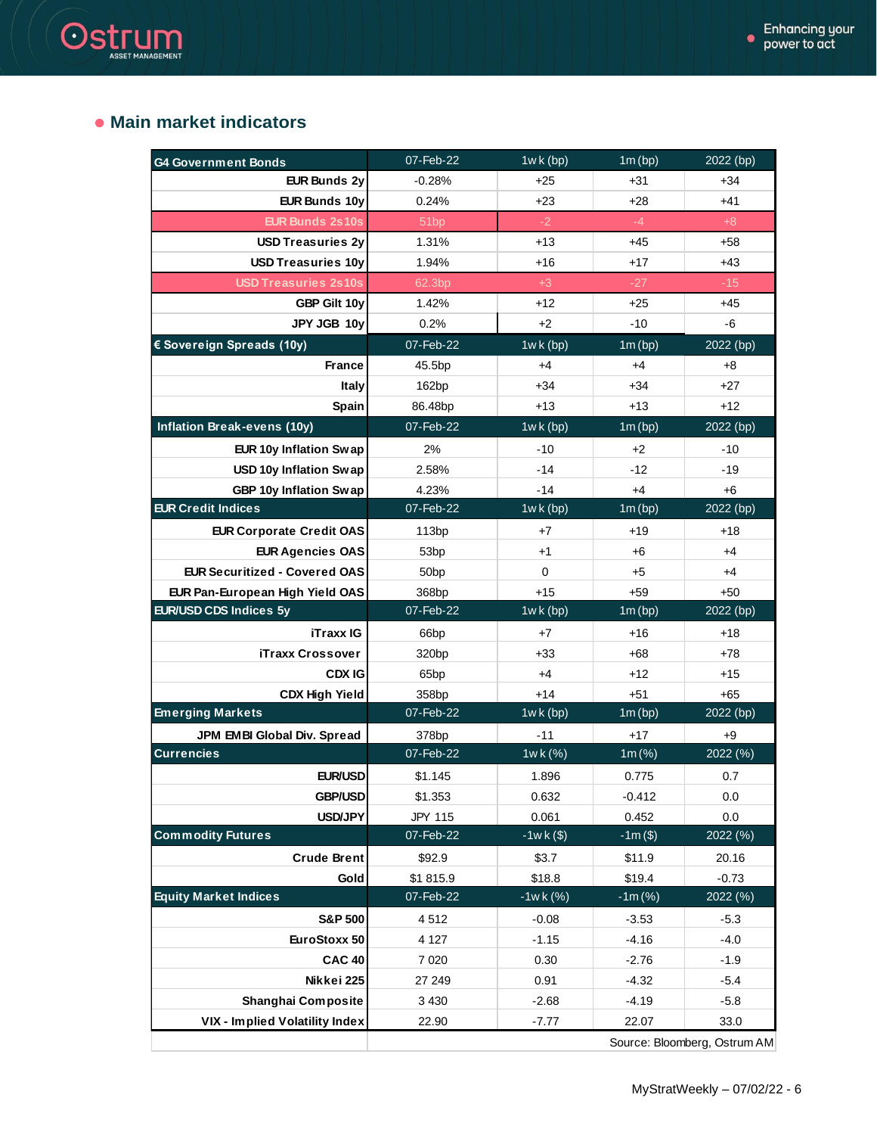### **Main market indicators**

Ostrum

| <b>G4 Government Bonds</b>           | 07-Feb-22         | $1wk$ (bp)  | 1m(bp)     | 2022 (bp) |
|--------------------------------------|-------------------|-------------|------------|-----------|
| <b>EUR Bunds 2y</b>                  | $-0.28%$          | $+25$       | $+31$      | $+34$     |
| <b>EUR Bunds 10y</b>                 | 0.24%             | $+23$       | $+28$      | $+41$     |
| <b>EUR Bunds 2s10s</b>               | 51 <sub>bp</sub>  | $-2$        | $-4$       | $+8$      |
| <b>USD Treasuries 2y</b>             | 1.31%             | $+13$       | $+45$      | $+58$     |
| <b>USD Treasuries 10y</b>            | 1.94%             | +16         | $+17$      | $+43$     |
| <b>USD Treasuries 2s10s</b>          | 62.3bp            | $+3$        | $-27$      | $-15$     |
| GBP Gilt 10y                         | 1.42%             | $+12$       | $+25$      | $+45$     |
| JPY JGB 10y                          | 0.2%              | $+2$        | $-10$      | $-6$      |
| € Sovereign Spreads (10y)            | 07-Feb-22         | $1wk$ (bp)  | 1m(bp)     | 2022 (bp) |
| <b>France</b>                        | 45.5bp            | $+4$        | $+4$       | $+8$      |
| <b>Italy</b>                         | 162bp             | $+34$       | $+34$      | $+27$     |
| Spain                                | 86.48bp           | $+13$       | $+13$      | $+12$     |
| <b>Inflation Break-evens (10y)</b>   | 07-Feb-22         | $1wk$ (bp)  | 1m(bp)     | 2022 (bp) |
| EUR 10y Inflation Swap               | 2%                | $-10$       | $+2$       | -10       |
| USD 10y Inflation Swap               | 2.58%             | $-14$       | $-12$      | $-19$     |
| GBP 10y Inflation Swap               | 4.23%             | $-14$       | $+4$       | $+6$      |
| <b>EUR Credit Indices</b>            | 07-Feb-22         | $1wk$ (bp)  | 1m(bp)     | 2022 (bp) |
| <b>EUR Corporate Credit OAS</b>      | 113bp             | $+7$        | $+19$      | $+18$     |
| <b>EUR Agencies OAS</b>              | 53 <sub>bp</sub>  | $+1$        | $+6$       | $+4$      |
| <b>EUR Securitized - Covered OAS</b> | 50 <sub>bp</sub>  | $\mathbf 0$ | $+5$       | $+4$      |
| EUR Pan-European High Yield OAS      | 368bp             | $+15$       | $+59$      | $+50$     |
| EUR/USD CDS Indices 5y               | 07-Feb-22         | $1wk$ (bp)  | 1m(bp)     | 2022 (bp) |
| <b>iTraxx IG</b>                     | 66 <sub>bp</sub>  | $+7$        | $+16$      | $+18$     |
| iTraxx Crossover                     | 320 <sub>bp</sub> | $+33$       | $+68$      | $+78$     |
| <b>CDX IG</b>                        | 65 <sub>bp</sub>  | $+4$        | $+12$      | $+15$     |
| <b>CDX High Yield</b>                | 358bp             | $+14$       | $+51$      | $+65$     |
| <b>Emerging Markets</b>              | 07-Feb-22         | $1wk$ (bp)  | 1m(bp)     | 2022 (bp) |
| JPM EMBI Global Div. Spread          | 378bp             | -11         | $+17$      | +9        |
| <b>Currencies</b>                    | 07-Feb-22         | 1wk(%)      | $1m (\%)$  | 2022 (%)  |
| <b>EUR/USD</b>                       | \$1.145           | 1.896       | 0.775      | 0.7       |
| <b>GBP/USD</b>                       | \$1.353           | 0.632       | $-0.412$   | 0.0       |
| <b>USD/JPY</b>                       | <b>JPY 115</b>    | 0.061       | 0.452      | 0.0       |
| <b>Commodity Futures</b>             | 07-Feb-22         | $-1wk($ \$) | $-1m($ \$) | 2022 (%)  |
| <b>Crude Brent</b>                   | \$92.9            | \$3.7       | \$11.9     | 20.16     |
| Gold                                 | \$1815.9          | \$18.8      | \$19.4     | $-0.73$   |
| <b>Equity Market Indices</b>         | 07-Feb-22         | $-1wk(%)$   | $-1m(%)$   | 2022 (%)  |
| <b>S&amp;P 500</b>                   | 4512              | $-0.08$     | $-3.53$    | $-5.3$    |
| EuroStoxx 50                         | 4 1 2 7           | $-1.15$     | $-4.16$    | $-4.0$    |
| <b>CAC 40</b>                        | 7 0 20            | 0.30        | $-2.76$    | $-1.9$    |
| Nikkei 225                           | 27 249            | 0.91        | $-4.32$    | $-5.4$    |
| Shanghai Composite                   | 3 4 3 0           | $-2.68$     | $-4.19$    | $-5.8$    |
| VIX - Implied Volatility Index       | 22.90             | $-7.77$     | 22.07      | 33.0      |

Source: Bloomberg, Ostrum AM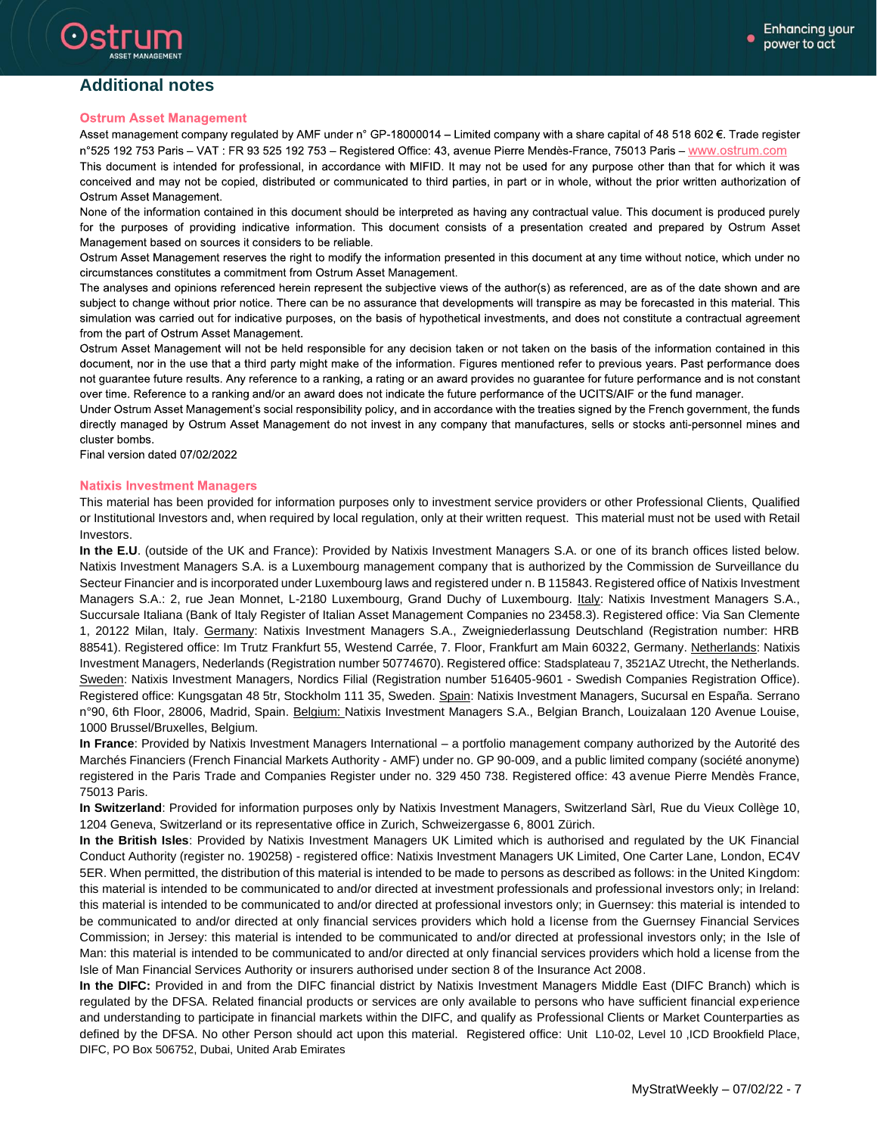### **Additional notes**

#### **Ostrum Asset Management**

Asset management company regulated by AMF under n° GP-18000014 - Limited company with a share capital of 48 518 602 €. Trade register n°525 192 753 Paris - VAT : FR 93 525 192 753 - Registered Office: 43, avenue Pierre Mendès-France, 75013 Paris - www.ostrum.com This document is intended for professional, in accordance with MIFID. It may not be used for any purpose other than that for which it was

conceived and may not be copied, distributed or communicated to third parties, in part or in whole, without the prior written authorization of Ostrum Asset Management.

None of the information contained in this document should be interpreted as having any contractual value. This document is produced purely for the purposes of providing indicative information. This document consists of a presentation created and prepared by Ostrum Asset Management based on sources it considers to be reliable.

Ostrum Asset Management reserves the right to modify the information presented in this document at any time without notice, which under no circumstances constitutes a commitment from Ostrum Asset Management.

The analyses and opinions referenced herein represent the subjective views of the author(s) as referenced, are as of the date shown and are subject to change without prior notice. There can be no assurance that developments will transpire as may be forecasted in this material. This simulation was carried out for indicative purposes, on the basis of hypothetical investments, and does not constitute a contractual agreement from the part of Ostrum Asset Management.

Ostrum Asset Management will not be held responsible for any decision taken or not taken on the basis of the information contained in this document, nor in the use that a third party might make of the information. Figures mentioned refer to previous years. Past performance does not guarantee future results. Any reference to a ranking, a rating or an award provides no guarantee for future performance and is not constant over time. Reference to a ranking and/or an award does not indicate the future performance of the UCITS/AIF or the fund manager.

Under Ostrum Asset Management's social responsibility policy, and in accordance with the treaties signed by the French government, the funds directly managed by Ostrum Asset Management do not invest in any company that manufactures, sells or stocks anti-personnel mines and cluster bombs.

Final version dated 07/02/2022

#### **Natixis Investment Managers**

This material has been provided for information purposes only to investment service providers or other Professional Clients, Qualified or Institutional Investors and, when required by local regulation, only at their written request. This material must not be used with Retail Investors.

**In the E.U**. (outside of the UK and France): Provided by Natixis Investment Managers S.A. or one of its branch offices listed below. Natixis Investment Managers S.A. is a Luxembourg management company that is authorized by the Commission de Surveillance du Secteur Financier and is incorporated under Luxembourg laws and registered under n. B 115843. Registered office of Natixis Investment Managers S.A.: 2, rue Jean Monnet, L-2180 Luxembourg, Grand Duchy of Luxembourg. Italy: Natixis Investment Managers S.A., Succursale Italiana (Bank of Italy Register of Italian Asset Management Companies no 23458.3). Registered office: Via San Clemente 1, 20122 Milan, Italy. Germany: Natixis Investment Managers S.A., Zweigniederlassung Deutschland (Registration number: HRB 88541). Registered office: Im Trutz Frankfurt 55, Westend Carrée, 7. Floor, Frankfurt am Main 60322, Germany. Netherlands: Natixis Investment Managers, Nederlands (Registration number 50774670). Registered office: Stadsplateau 7, 3521AZ Utrecht, the Netherlands. Sweden: Natixis Investment Managers, Nordics Filial (Registration number 516405-9601 - Swedish Companies Registration Office). Registered office: Kungsgatan 48 5tr, Stockholm 111 35, Sweden. Spain: Natixis Investment Managers, Sucursal en España. Serrano n°90, 6th Floor, 28006, Madrid, Spain. Belgium: Natixis Investment Managers S.A., Belgian Branch, Louizalaan 120 Avenue Louise, 1000 Brussel/Bruxelles, Belgium.

**In France**: Provided by Natixis Investment Managers International – a portfolio management company authorized by the Autorité des Marchés Financiers (French Financial Markets Authority - AMF) under no. GP 90-009, and a public limited company (société anonyme) registered in the Paris Trade and Companies Register under no. 329 450 738. Registered office: 43 avenue Pierre Mendès France, 75013 Paris.

**In Switzerland**: Provided for information purposes only by Natixis Investment Managers, Switzerland Sàrl, Rue du Vieux Collège 10, 1204 Geneva, Switzerland or its representative office in Zurich, Schweizergasse 6, 8001 Zürich.

**In the British Isles**: Provided by Natixis Investment Managers UK Limited which is authorised and regulated by the UK Financial Conduct Authority (register no. 190258) - registered office: Natixis Investment Managers UK Limited, One Carter Lane, London, EC4V 5ER. When permitted, the distribution of this material is intended to be made to persons as described as follows: in the United Kingdom: this material is intended to be communicated to and/or directed at investment professionals and professional investors only; in Ireland: this material is intended to be communicated to and/or directed at professional investors only; in Guernsey: this material is intended to be communicated to and/or directed at only financial services providers which hold a license from the Guernsey Financial Services Commission; in Jersey: this material is intended to be communicated to and/or directed at professional investors only; in the Isle of Man: this material is intended to be communicated to and/or directed at only financial services providers which hold a license from the Isle of Man Financial Services Authority or insurers authorised under section 8 of the Insurance Act 2008.

**In the DIFC:** Provided in and from the DIFC financial district by Natixis Investment Managers Middle East (DIFC Branch) which is regulated by the DFSA. Related financial products or services are only available to persons who have sufficient financial experience and understanding to participate in financial markets within the DIFC, and qualify as Professional Clients or Market Counterparties as defined by the DFSA. No other Person should act upon this material. Registered office: Unit L10-02, Level 10 ,ICD Brookfield Place, DIFC, PO Box 506752, Dubai, United Arab Emirates